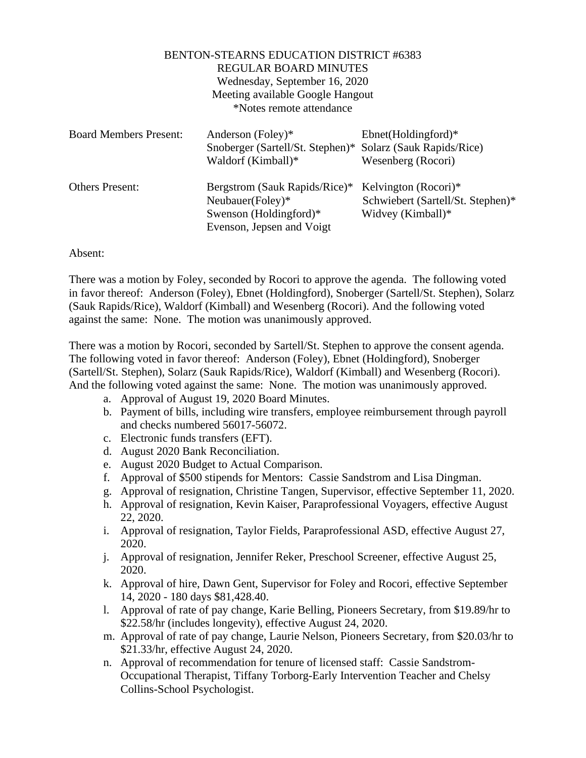|                               | <b>BENTON-STEARNS EDUCATION DISTRICT #6383</b><br><b>REGULAR BOARD MINUTES</b><br>Wednesday, September 16, 2020<br>Meeting available Google Hangout<br>*Notes remote attendance |                                                                                |
|-------------------------------|---------------------------------------------------------------------------------------------------------------------------------------------------------------------------------|--------------------------------------------------------------------------------|
| <b>Board Members Present:</b> | Anderson (Foley)*<br>Snoberger (Sartell/St. Stephen)* Solarz (Sauk Rapids/Rice)<br>Waldorf (Kimball)*                                                                           | $Ebnet(Holdingford)*$<br>Wesenberg (Rocori)                                    |
| Others Present:               | Bergstrom (Sauk Rapids/Rice)*<br>Neubauer(Foley)*<br>Swenson (Holdingford)*<br>Evenson, Jepsen and Voigt                                                                        | Kelvington (Rocori)*<br>Schwiebert (Sartell/St. Stephen)*<br>Widvey (Kimball)* |

## Absent:

There was a motion by Foley, seconded by Rocori to approve the agenda. The following voted in favor thereof: Anderson (Foley), Ebnet (Holdingford), Snoberger (Sartell/St. Stephen), Solarz (Sauk Rapids/Rice), Waldorf (Kimball) and Wesenberg (Rocori). And the following voted against the same: None. The motion was unanimously approved.

There was a motion by Rocori, seconded by Sartell/St. Stephen to approve the consent agenda. The following voted in favor thereof: Anderson (Foley), Ebnet (Holdingford), Snoberger (Sartell/St. Stephen), Solarz (Sauk Rapids/Rice), Waldorf (Kimball) and Wesenberg (Rocori). And the following voted against the same: None. The motion was unanimously approved.

- a. Approval of August 19, 2020 Board Minutes.
- b. Payment of bills, including wire transfers, employee reimbursement through payroll and checks numbered 56017-56072.
- c. Electronic funds transfers (EFT).
- d. August 2020 Bank Reconciliation.
- e. August 2020 Budget to Actual Comparison.
- f. Approval of \$500 stipends for Mentors: Cassie Sandstrom and Lisa Dingman.
- g. Approval of resignation, Christine Tangen, Supervisor, effective September 11, 2020.
- h. Approval of resignation, Kevin Kaiser, Paraprofessional Voyagers, effective August 22, 2020.
- i. Approval of resignation, Taylor Fields, Paraprofessional ASD, effective August 27, 2020.
- j. Approval of resignation, Jennifer Reker, Preschool Screener, effective August 25, 2020.
- k. Approval of hire, Dawn Gent, Supervisor for Foley and Rocori, effective September 14, 2020 - 180 days \$81,428.40.
- l. Approval of rate of pay change, Karie Belling, Pioneers Secretary, from \$19.89/hr to \$22.58/hr (includes longevity), effective August 24, 2020.
- m. Approval of rate of pay change, Laurie Nelson, Pioneers Secretary, from \$20.03/hr to \$21.33/hr, effective August 24, 2020.
- n. Approval of recommendation for tenure of licensed staff: Cassie Sandstrom-Occupational Therapist, Tiffany Torborg-Early Intervention Teacher and Chelsy Collins-School Psychologist.